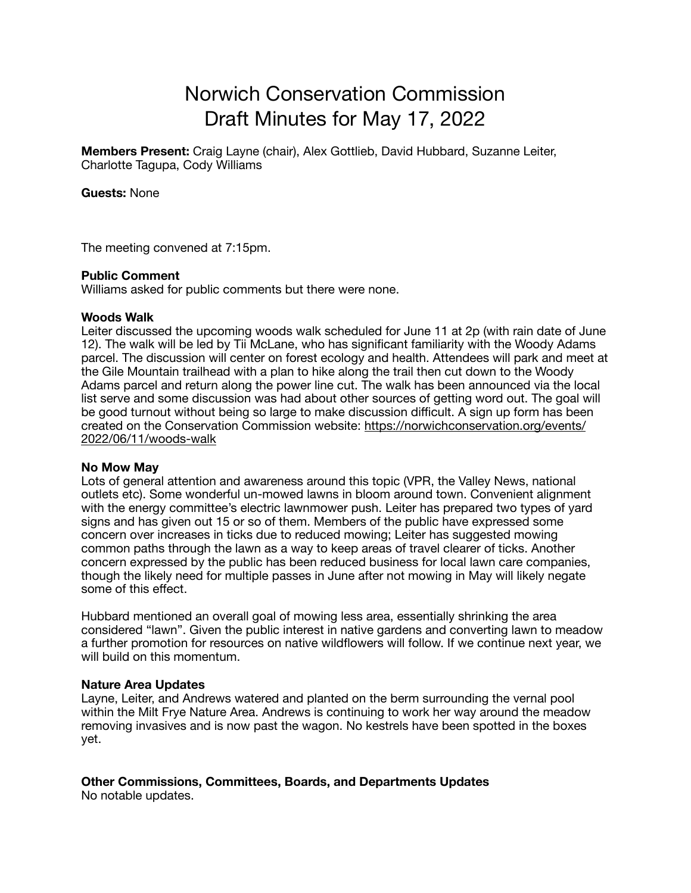# Norwich Conservation Commission Draft Minutes for May 17, 2022

**Members Present:** Craig Layne (chair), Alex Gottlieb, David Hubbard, Suzanne Leiter, Charlotte Tagupa, Cody Williams

**Guests:** None

The meeting convened at 7:15pm.

#### **Public Comment**

Williams asked for public comments but there were none.

#### **Woods Walk**

Leiter discussed the upcoming woods walk scheduled for June 11 at 2p (with rain date of June 12). The walk will be led by Tii McLane, who has significant familiarity with the Woody Adams parcel. The discussion will center on forest ecology and health. Attendees will park and meet at the Gile Mountain trailhead with a plan to hike along the trail then cut down to the Woody Adams parcel and return along the power line cut. The walk has been announced via the local list serve and some discussion was had about other sources of getting word out. The goal will be good turnout without being so large to make discussion difficult. A sign up form has been created on the Conservation Commission website: [https://norwichconservation.org/events/](https://norwichconservation.org/events/2022/06/11/woods-walk) [2022/06/11/woods-walk](https://norwichconservation.org/events/2022/06/11/woods-walk)

### **No Mow May**

Lots of general attention and awareness around this topic (VPR, the Valley News, national outlets etc). Some wonderful un-mowed lawns in bloom around town. Convenient alignment with the energy committee's electric lawnmower push. Leiter has prepared two types of yard signs and has given out 15 or so of them. Members of the public have expressed some concern over increases in ticks due to reduced mowing; Leiter has suggested mowing common paths through the lawn as a way to keep areas of travel clearer of ticks. Another concern expressed by the public has been reduced business for local lawn care companies, though the likely need for multiple passes in June after not mowing in May will likely negate some of this effect.

Hubbard mentioned an overall goal of mowing less area, essentially shrinking the area considered "lawn". Given the public interest in native gardens and converting lawn to meadow a further promotion for resources on native wildflowers will follow. If we continue next year, we will build on this momentum.

#### **Nature Area Updates**

Layne, Leiter, and Andrews watered and planted on the berm surrounding the vernal pool within the Milt Frye Nature Area. Andrews is continuing to work her way around the meadow removing invasives and is now past the wagon. No kestrels have been spotted in the boxes yet.

## **Other Commissions, Committees, Boards, and Departments Updates**

No notable updates.